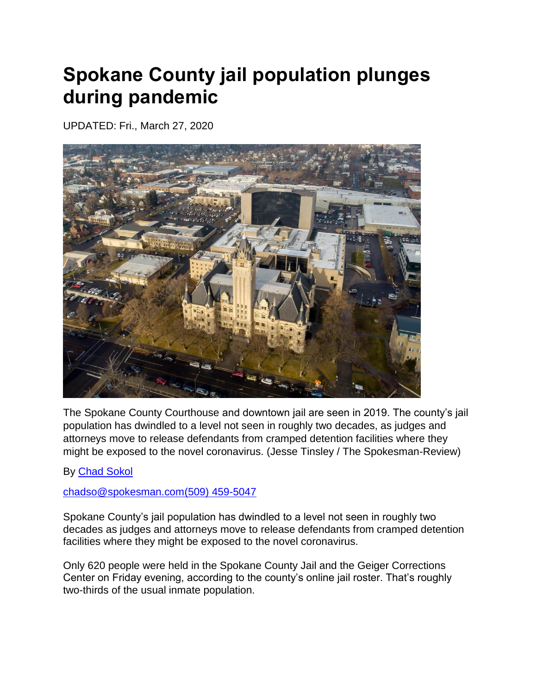## **Spokane County jail population plunges during pandemic**

UPDATED: Fri., March 27, 2020



The Spokane County Courthouse and downtown jail are seen in 2019. The county's jail population has dwindled to a level not seen in roughly two decades, as judges and attorneys move to release defendants from cramped detention facilities where they might be exposed to the novel coronavirus. (Jesse Tinsley / The Spokesman-Review)

By [Chad Sokol](https://www.spokesman.com/staff/chad-sokol/)

## [chadso@spokesman.com](mailto:chadso@spokesman.com)[\(509\) 459-5047](tel:+15094595047)

Spokane County's jail population has dwindled to a level not seen in roughly two decades as judges and attorneys move to release defendants from cramped detention facilities where they might be exposed to the novel coronavirus.

Only 620 people were held in the Spokane County Jail and the Geiger Corrections Center on Friday evening, according to the county's online jail roster. That's roughly two-thirds of the usual inmate population.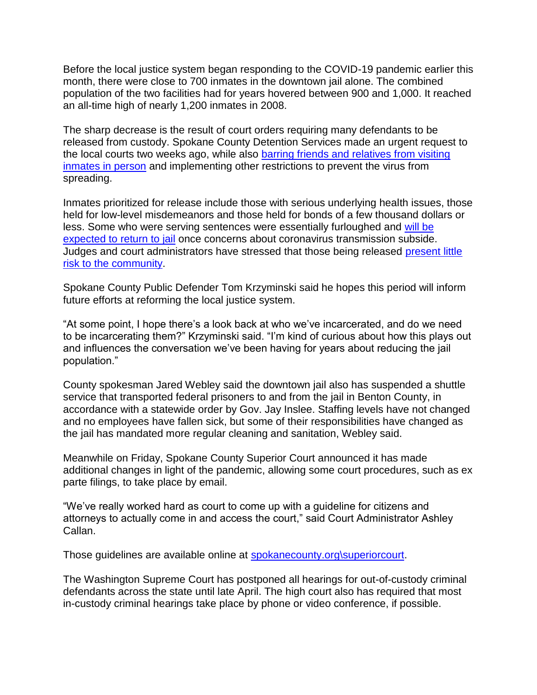Before the local justice system began responding to the COVID-19 pandemic earlier this month, there were close to 700 inmates in the downtown jail alone. The combined population of the two facilities had for years hovered between 900 and 1,000. It reached an all-time high of nearly 1,200 inmates in 2008.

The sharp decrease is the result of court orders requiring many defendants to be released from custody. Spokane County Detention Services made an urgent request to the local courts two weeks ago, while also [barring friends and relatives from visiting](https://www.spokesman.com/stories/2020/mar/16/spokane-county-district-court-suspends-most-operat/?cache_bust=True)  [inmates in person](https://www.spokesman.com/stories/2020/mar/16/spokane-county-district-court-suspends-most-operat/?cache_bust=True) and implementing other restrictions to prevent the virus from spreading.

Inmates prioritized for release include those with serious underlying health issues, those held for low-level misdemeanors and those held for bonds of a few thousand dollars or less. Some who were serving sentences were essentially furloughed and [will be](https://www.spokesman.com/stories/2020/mar/17/dozens-released-from-spokane-county-custody-follow/)  [expected to return to jail](https://www.spokesman.com/stories/2020/mar/17/dozens-released-from-spokane-county-custody-follow/) once concerns about coronavirus transmission subside. Judges and court administrators have stressed that those being released [present little](https://www.spokesman.com/stories/2020/mar/18/spokane-county-courts-working-to-alleviate-jail-cr/)  [risk to the community.](https://www.spokesman.com/stories/2020/mar/18/spokane-county-courts-working-to-alleviate-jail-cr/)

Spokane County Public Defender Tom Krzyminski said he hopes this period will inform future efforts at reforming the local justice system.

"At some point, I hope there's a look back at who we've incarcerated, and do we need to be incarcerating them?" Krzyminski said. "I'm kind of curious about how this plays out and influences the conversation we've been having for years about reducing the jail population."

County spokesman Jared Webley said the downtown jail also has suspended a shuttle service that transported federal prisoners to and from the jail in Benton County, in accordance with a statewide order by Gov. Jay Inslee. Staffing levels have not changed and no employees have fallen sick, but some of their responsibilities have changed as the jail has mandated more regular cleaning and sanitation, Webley said.

Meanwhile on Friday, Spokane County Superior Court announced it has made additional changes in light of the pandemic, allowing some court procedures, such as ex parte filings, to take place by email.

"We've really worked hard as court to come up with a guideline for citizens and attorneys to actually come in and access the court," said Court Administrator Ashley Callan.

Those guidelines are available online at [spokanecounty.org\superiorcourt.](http://www.spokanecounty.org/SuperiorCourt)

The Washington Supreme Court has postponed all hearings for out-of-custody criminal defendants across the state until late April. The high court also has required that most in-custody criminal hearings take place by phone or video conference, if possible.